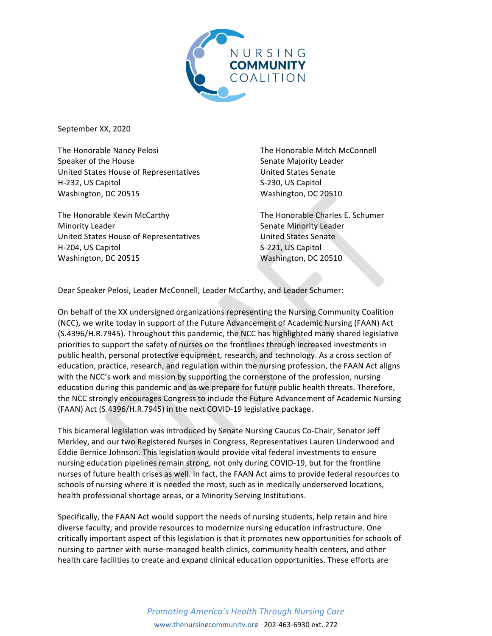

September XX, 2020

The Honorable Nancy Pelosi Speaker of the House United States House of Representatives H-232, US Capitol Washington, DC 20515

The Honorable Kevin McCarthy Minority Leader United States House of Representatives H-204, US Capitol Washington, DC 20515

The Honorable Mitch McConnell Senate Majority Leader United States Senate S-230, US Capitol Washington, DC 20510

The Honorable Charles E. Schumer Senate Minority Leader United States Senate S-221, US Capitol Washington, DC 20510

Dear Speaker Pelosi, Leader McConnell, Leader McCarthy, and Leader Schumer:

On behalf of the XX undersigned organizations representing the Nursing Community Coalition (NCC), we write today in support of the Future Advancement of Academic Nursing (FAAN) Act (S.4396/H.R.7945). Throughout this pandemic, the NCC has highlighted many shared legislative priorities to support the safety of nurses on the frontlines through increased investments in public health, personal protective equipment, research, and technology. As a cross section of education, practice, research, and regulation within the nursing profession, the FAAN Act aligns with the NCC's work and mission by supporting the cornerstone of the profession, nursing education during this pandemic and as we prepare for future public health threats. Therefore, the NCC strongly encourages Congress to include the Future Advancement of Academic Nursing (FAAN) Act (S.4396/H.R.7945) in the next COVID-19 legislative package.

This bicameral legislation was introduced by Senate Nursing Caucus Co-Chair, Senator Jeff Merkley, and our two Registered Nurses in Congress, Representatives Lauren Underwood and Eddie Bernice Johnson. This legislation would provide vital federal investments to ensure nursing education pipelines remain strong, not only during COVID-19, but for the frontline nurses of future health crises as well. In fact, the FAAN Act aims to provide federal resources to schools of nursing where it is needed the most, such as in medically underserved locations, health professional shortage areas, or a Minority Serving Institutions.

Specifically, the FAAN Act would support the needs of nursing students, help retain and hire diverse faculty, and provide resources to modernize nursing education infrastructure. One critically important aspect of this legislation is that it promotes new opportunities for schools of nursing to partner with nurse-managed health clinics, community health centers, and other health care facilities to create and expand clinical education opportunities. These efforts are